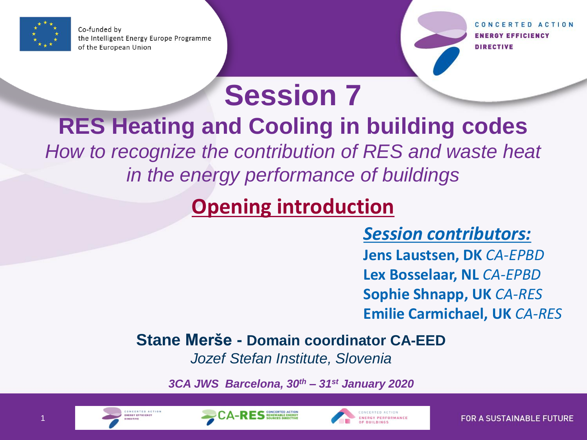

Co-funded by the Intelligent Energy Europe Programme of the European Union

CONCERTED ACTION **ENERGY EFFICIENCY** DIRECTIVE

# **Session 7**

## **RES Heating and Cooling in building codes**

*How to recognize the contribution of RES and waste heat in the energy performance of buildings*

### **Opening introduction**

*Session contributors:*

**Jens Laustsen, DK** *CA-EPBD* **Lex Bosselaar, NL** *CA-EPBD* **Sophie Shnapp, UK** *CA-RES* **Emilie Carmichael, UK** *CA-RES*

#### **Stane Merše - Domain coordinator CA-EED**

*Jozef Stefan Institute, Slovenia*

*3CA JWS Barcelona, 30th – 31st January 2020*





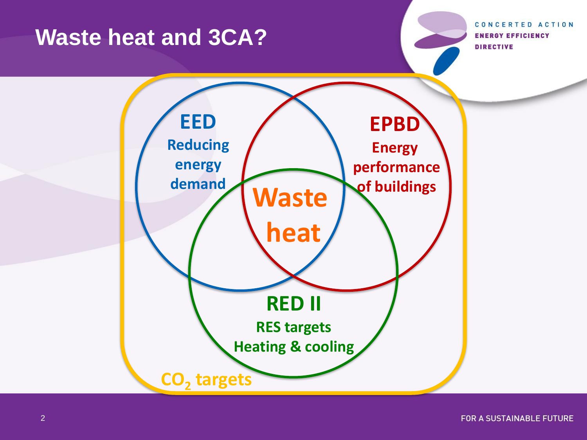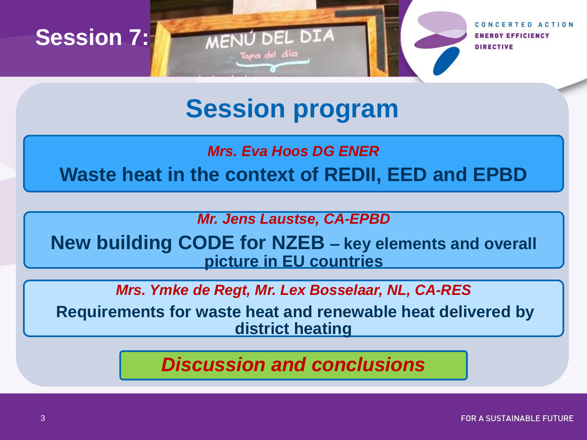

## **Session program**

*Mrs. Eva Hoos DG ENER*

**Waste heat in the context of REDII, EED and EPBD**

*Mr. Jens Laustse, CA-EPBD*

**New building CODE for NZEB – key elements and overall picture in EU countries**

*Mrs. Ymke de Regt, Mr. Lex Bosselaar, NL, CA-RES*

**Requirements for waste heat and renewable heat delivered by district heating**

*Discussion and conclusions*